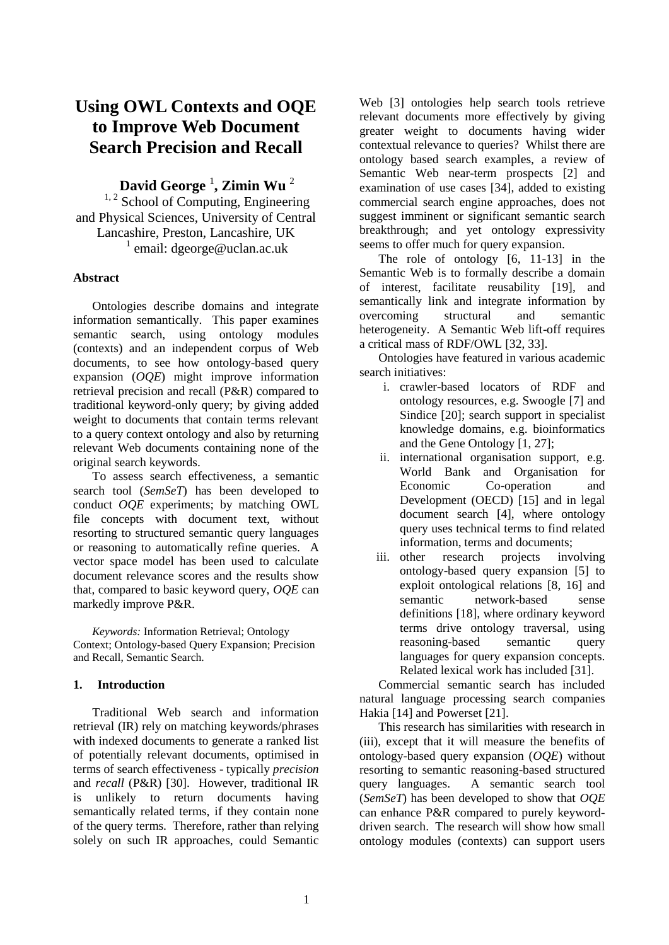# **Using OWL Contexts and OQE to Improve Web Document Search Precision and Recall**

## **David George** <sup>1</sup> **, Zimin Wu** <sup>2</sup>

 $1, 2$  School of Computing, Engineering and Physical Sciences, University of Central Lancashire, Preston, Lancashire, UK <sup>1</sup> email: dgeorge@uclan.ac.uk

## **Abstract**

Ontologies describe domains and integrate information semantically. This paper examines semantic search, using ontology modules (contexts) and an independent corpus of Web documents, to see how ontology-based query expansion (*OQE*) might improve information retrieval precision and recall (P&R) compared to traditional keyword-only query; by giving added weight to documents that contain terms relevant to a query context ontology and also by returning relevant Web documents containing none of the original search keywords.

To assess search effectiveness, a semantic search tool (*SemSeT*) has been developed to conduct *OQE* experiments; by matching OWL file concepts with document text, without resorting to structured semantic query languages or reasoning to automatically refine queries. A vector space model has been used to calculate document relevance scores and the results show that, compared to basic keyword query, *OQE* can markedly improve P&R.

*Keywords:* Information Retrieval; Ontology Context; Ontology-based Query Expansion; Precision and Recall, Semantic Search.

## **1. Introduction**

Traditional Web search and information retrieval (IR) rely on matching keywords/phrases with indexed documents to generate a ranked list of potentially relevant documents, optimised in terms of search effectiveness - typically *precision* and *recall* (P&R) [30]. However, traditional IR is unlikely to return documents having semantically related terms, if they contain none of the query terms. Therefore, rather than relying solely on such IR approaches, could Semantic Web [3] ontologies help search tools retrieve relevant documents more effectively by giving greater weight to documents having wider contextual relevance to queries? Whilst there are ontology based search examples, a review of Semantic Web near-term prospects [2] and examination of use cases [34], added to existing commercial search engine approaches, does not suggest imminent or significant semantic search breakthrough; and yet ontology expressivity seems to offer much for query expansion.

The role of ontology [6, 11-13] in the Semantic Web is to formally describe a domain of interest, facilitate reusability [19], and semantically link and integrate information by overcoming structural and semantic heterogeneity. A Semantic Web lift-off requires a critical mass of RDF/OWL [32, 33].

Ontologies have featured in various academic search initiatives:

- i. crawler-based locators of RDF and ontology resources, e.g. Swoogle [7] and Sindice [20]; search support in specialist knowledge domains, e.g. bioinformatics and the Gene Ontology [1, 27];
- ii. international organisation support, e.g. World Bank and Organisation for Economic Co-operation and Development (OECD) [15] and in legal document search [4], where ontology query uses technical terms to find related information, terms and documents;
- iii. other research projects involving ontology-based query expansion [5] to exploit ontological relations [8, 16] and semantic network-based sense definitions [18], where ordinary keyword terms drive ontology traversal, using reasoning-based semantic query languages for query expansion concepts. Related lexical work has included [31].

Commercial semantic search has included natural language processing search companies Hakia [14] and Powerset [21].

This research has similarities with research in (iii), except that it will measure the benefits of ontology-based query expansion (*OQE*) without resorting to semantic reasoning-based structured query languages. A semantic search tool (*SemSeT*) has been developed to show that *OQE* can enhance P&R compared to purely keyworddriven search. The research will show how small ontology modules (contexts) can support users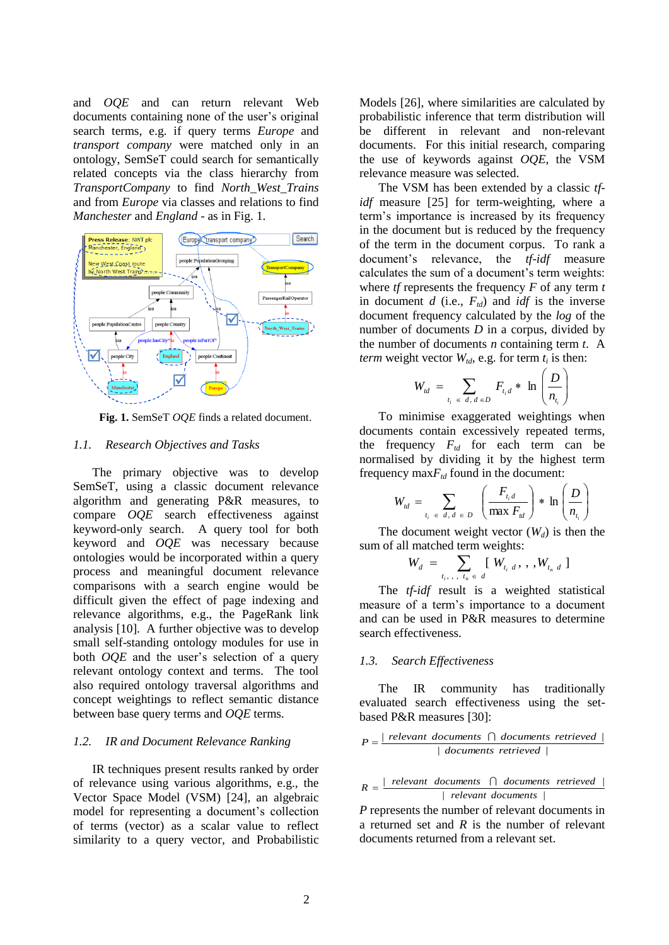and *OQE* and can return relevant Web documents containing none of the user's original search terms, e.g. if query terms *Europe* and *transport company* were matched only in an ontology, SemSeT could search for semantically related concepts via the class hierarchy from *TransportCompany* to find *North\_West\_Trains* and from *Europe* via classes and relations to find *Manchester* and *England* - as in Fig. 1.



**Fig. 1.** SemSeT *OQE* finds a related document.

#### *1.1. Research Objectives and Tasks*

The primary objective was to develop SemSeT, using a classic document relevance algorithm and generating P&R measures, to compare *OQE* search effectiveness against keyword-only search. A query tool for both keyword and *OQE* was necessary because ontologies would be incorporated within a query process and meaningful document relevance comparisons with a search engine would be difficult given the effect of page indexing and relevance algorithms, e.g., the PageRank link analysis [10]. A further objective was to develop small self-standing ontology modules for use in both *OQE* and the user's selection of a query relevant ontology context and terms. The tool also required ontology traversal algorithms and concept weightings to reflect semantic distance between base query terms and *OQE* terms.

## *1.2. IR and Document Relevance Ranking*

IR techniques present results ranked by order of relevance using various algorithms, e.g., the Vector Space Model (VSM) [24], an algebraic model for representing a document's collection of terms (vector) as a scalar value to reflect similarity to a query vector, and Probabilistic Models [26], where similarities are calculated by probabilistic inference that term distribution will be different in relevant and non-relevant documents. For this initial research, comparing the use of keywords against *OQE*, the VSM relevance measure was selected.

The VSM has been extended by a classic *tfidf* measure [25] for term-weighting, where a term's importance is increased by its frequency in the document but is reduced by the frequency of the term in the document corpus. To rank a document's relevance, the *tf-idf* measure calculates the sum of a document's term weights: where *tf* represents the frequency *F* of any term *t* in document  $d$  (i.e.,  $F_{td}$ ) and  $idf$  is the inverse document frequency calculated by the *log* of the number of documents *D* in a corpus, divided by the number of documents *n* containing term *t*. A *term* weight vector  $W_{td}$ , e.g. for term  $t_i$  is then:

$$
W_{id} = \sum_{t_i \in d, d \in D} F_{t_i d} * \ln \left( \frac{D}{n_{t_i}} \right)
$$

To minimise exaggerated weightings when documents contain excessively repeated terms, the frequency *Ftd* for each term can be normalised by dividing it by the highest term frequency  $\max F_{td}$  found in the document:

$$
W_{id} = \sum_{t_i \in d, d \in D} \left( \frac{F_{t_i d}}{\max F_{id}} \right) * \ln \left( \frac{D}{n_{t_i}} \right)
$$

The document weight vector  $(W_d)$  is then the sum of all matched term weights:

$$
W_d = \sum_{t_i, \dots, t_n \in d} [W_{t_i, d}, \dots, W_{t_n, d}]
$$

The *tf-idf* result is a weighted statistical measure of a term's importance to a document and can be used in P&R measures to determine search effectiveness.

#### *1.3. Search Effectiveness*

The IR community has traditionally evaluated search effectiveness using the setbased P&R measures [30]:

$$
P = \frac{|\text{ relevant documents} \cap \text{ documents retrieved}|}{|\text{ documents retrieved}|}
$$

$$
R = \frac{|relevant~ documents~|~ documents~ retrieved~|}{|relevant~ documents~|}
$$

*P* represents the number of relevant documents in a returned set and *R* is the number of relevant documents returned from a relevant set.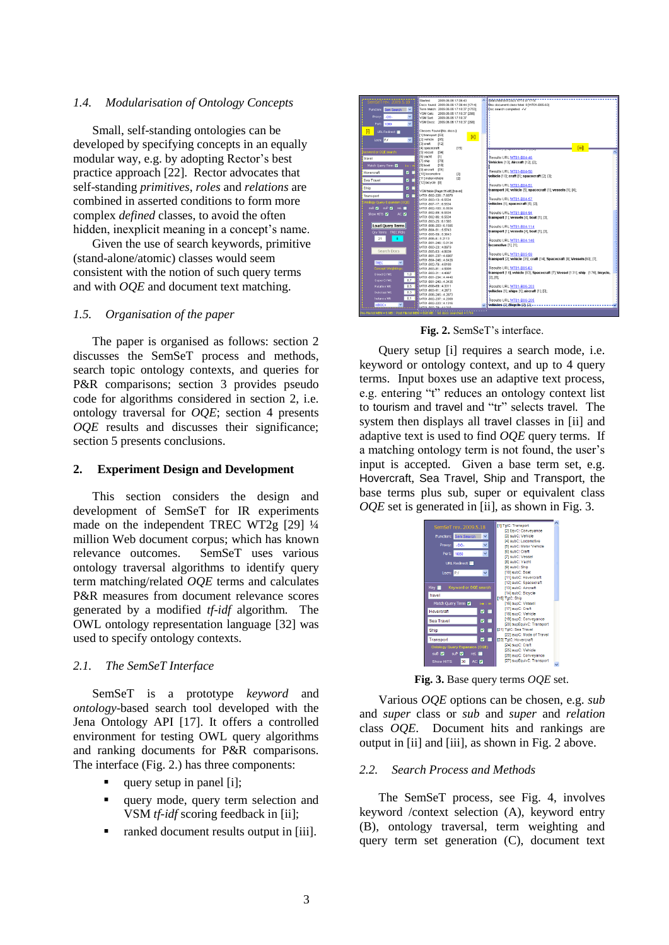#### *1.4. Modularisation of Ontology Concepts*

Small, self-standing ontologies can be developed by specifying concepts in an equally modular way, e.g. by adopting Rector's best practice approach [22]. Rector advocates that self-standing *primitives*, *roles* and *relations* are combined in asserted conditions to form more complex *defined* classes, to avoid the often hidden, inexplicit meaning in a concept's name.

Given the use of search keywords, primitive (stand-alone/atomic) classes would seem consistent with the notion of such query terms and with *OQE* and document text matching.

## *1.5. Organisation of the paper*

The paper is organised as follows: section 2 discusses the SemSeT process and methods, search topic ontology contexts, and queries for P&R comparisons; section 3 provides pseudo code for algorithms considered in section 2, i.e. ontology traversal for *OQE*; section 4 presents *OQE* results and discusses their significance; section 5 presents conclusions.

### **2. Experiment Design and Development**

This section considers the design and development of SemSeT for IR experiments made on the independent TREC WT2g [29] ¼ million Web document corpus; which has known relevance outcomes. SemSeT uses various ontology traversal algorithms to identify query term matching/related *OQE* terms and calculates P&R measures from document relevance scores generated by a modified *tf-idf* algorithm. The OWL ontology representation language [32] was used to specify ontology contexts.

## *2.1. The SemSeT Interface*

SemSeT is a prototype *keyword* and *ontology*-based search tool developed with the Jena Ontology API [17]. It offers a controlled environment for testing OWL query algorithms and ranking documents for P&R comparisons. The interface (Fig. 2.) has three components:

- query setup in panel [i];
- query mode, query term selection and VSM *tf-idf* scoring feedback in [ii];
- ranked document results output in [iii].



**Fig. 2.** SemSeT's interface.

Query setup [i] requires a search mode, i.e. keyword or ontology context, and up to 4 query terms. Input boxes use an adaptive text process, e.g. entering "t" reduces an ontology context list to tourism and travel and "tr" selects travel. The system then displays all travel classes in [ii] and adaptive text is used to find *OQE* query terms. If a matching ontology term is not found, the user's input is accepted. Given a base term set, e.g. Hovercraft, Sea Travel, Ship and Transport, the base terms plus sub, super or equivalent class *OQE* set is generated in [ii], as shown in Fig. 3.

| SemSeT rev. 2009.5.18                    | [1] TgtC: Transport                       |  |
|------------------------------------------|-------------------------------------------|--|
| v                                        | [2] EavC: Convevance<br>[3] subC: Vehicle |  |
| Function:<br>Sem Search                  | [4] subC: Locomotive                      |  |
| v<br>$-00-$<br>Proxy:                    | [5] subC: Motor Vehicle                   |  |
|                                          | [6] subC: Craft                           |  |
| $\checkmark$<br>Port:<br>1080            | [7] subC: Vessel                          |  |
|                                          | [8] subC: Yacht                           |  |
| URL Redirect                             | [9] subC: Ship                            |  |
|                                          | [10] subC: Boat                           |  |
| Locn: FV<br>$\checkmark$                 | [11] subC: Hovercraft                     |  |
|                                          |                                           |  |
| Key <b>III</b><br>Keyword or OQE search: | [12] subC: Spacecraft                     |  |
|                                          | [13] subC: Aircraft                       |  |
| travel                                   | [14] subC: Bicycle                        |  |
|                                          | [15] TgtC: Ship                           |  |
| Match Query Term<br>i-e :: m             | [16] supC: Vessel                         |  |
| <b>घ ⊓</b><br>Hovercraft                 | [17] supC: Craft                          |  |
|                                          | [18] supC: Vehicle                        |  |
| ◘■<br><b>Sea Travel</b>                  | [19] supC: Convevance                     |  |
|                                          | [20] supEquivC: Transport                 |  |
| <b>च ⊓</b><br>Ship                       | [21] TotC: Sea Travel                     |  |
|                                          | [22] supC: Mode of Travel                 |  |
| <b>⊽ ⊓</b><br><b>Transport</b>           | [23] TotC: Hovercraft                     |  |
| Ontology Query Expansion (OQE)           | [24] supC: Craft                          |  |
| suB <sub>N</sub><br>suP <sub>M</sub>     | [25] supC: Vehicle                        |  |
| rel                                      | [26] supC: Conveyance                     |  |
| 30<br>AC <sub>D</sub><br>Show HITS       | [27] supEquivC: Transport                 |  |
|                                          |                                           |  |

**Fig. 3.** Base query terms *OQE* set.

Various *OQE* options can be chosen, e.g. *sub* and *super* class or *sub* and *super* and *relation* class *OQE*. Document hits and rankings are output in [ii] and [iii], as shown in Fig. 2 above.

#### *2.2. Search Process and Methods*

The SemSeT process, see Fig. 4, involves keyword /context selection (A), keyword entry (B), ontology traversal, term weighting and query term set generation (C), document text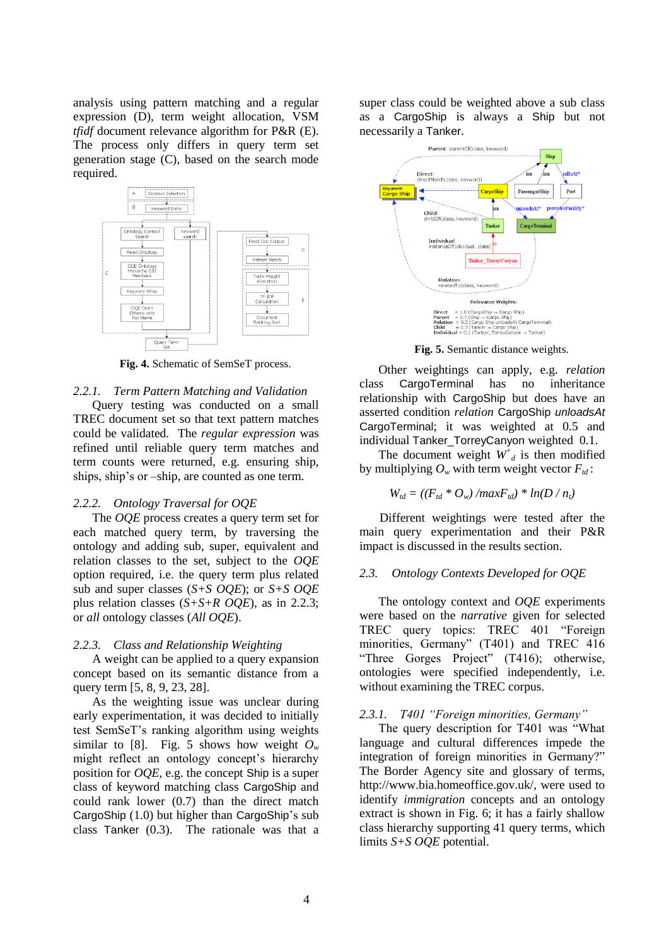analysis using pattern matching and a regular expression (D), term weight allocation, VSM *tfidf* document relevance algorithm for P&R (E). The process only differs in query term set generation stage (C), based on the search mode required.



**Fig. 4.** Schematic of SemSeT process.

#### *2.2.1. Term Pattern Matching and Validation*

Query testing was conducted on a small TREC document set so that text pattern matches could be validated. The *regular expression* was refined until reliable query term matches and term counts were returned, e.g. ensuring ship, ships, ship's or –ship, are counted as one term.

#### *2.2.2. Ontology Traversal for OQE*

The *OQE* process creates a query term set for each matched query term, by traversing the ontology and adding sub, super, equivalent and relation classes to the set, subject to the *OQE* option required, i.e. the query term plus related sub and super classes (*S+S OQE*); or *S+S OQE* plus relation classes (*S+S+R OQE*), as in 2.2.3; or *all* ontology classes (*All OQE*).

#### *2.2.3. Class and Relationship Weighting*

A weight can be applied to a query expansion concept based on its semantic distance from a query term [5, 8, 9, 23, 28].

As the weighting issue was unclear during early experimentation, it was decided to initially test SemSeT's ranking algorithm using weights similar to [8]. Fig. 5 shows how weight  $O_w$ might reflect an ontology concept's hierarchy position for *OQE*, e.g. the concept Ship is a super class of keyword matching class CargoShip and could rank lower (0.7) than the direct match CargoShip (1.0) but higher than CargoShip's sub class Tanker (0.3). The rationale was that a super class could be weighted above a sub class as a CargoShip is always a Ship but not necessarily a Tanker.



**Fig. 5.** Semantic distance weights.

Other weightings can apply, e.g. *relation* class CargoTerminal has no inheritance relationship with CargoShip but does have an asserted condition *relation* CargoShip *unloadsAt* CargoTerminal; it was weighted at 0.5 and individual Tanker\_TorreyCanyon weighted 0.1.

The document weight  $W^{\dagger}_{d}$  is then modified by multiplying  $O_w$  with term weight vector  $F_{td}$ :

$$
W_{td} = ((F_{td} * O_w) / maxF_{td}) * ln(D / n_t)
$$

Different weightings were tested after the main query experimentation and their P&R impact is discussed in the results section.

#### *2.3. Ontology Contexts Developed for OQE*

The ontology context and *OQE* experiments were based on the *narrative* given for selected TREC query topics: TREC 401 "Foreign minorities, Germany" (T401) and TREC 416 "Three Gorges Project" (T416); otherwise, ontologies were specified independently, i.e. without examining the TREC corpus.

#### *2.3.1. T401 "Foreign minorities, Germany"*

The query description for T401 was "What language and cultural differences impede the integration of foreign minorities in Germany?" The Border Agency site and glossary of terms, http://www.bia.homeoffice.gov.uk/, were used to identify *immigration* concepts and an ontology extract is shown in Fig. 6; it has a fairly shallow class hierarchy supporting 41 query terms, which limits *S+S OQE* potential.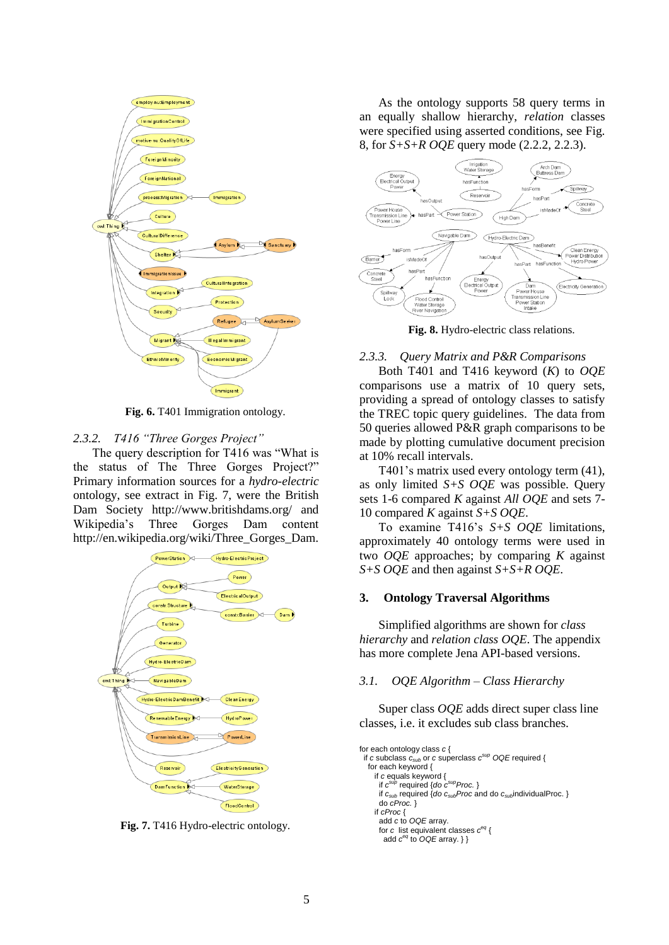

**Fig. 6.** T401 Immigration ontology.

## *2.3.2. T416 "Three Gorges Project"*

The query description for T416 was "What is the status of The Three Gorges Project?" Primary information sources for a *hydro-electric* ontology, see extract in Fig. 7, were the British Dam Society http://www.britishdams.org/ and Wikipedia's Three Gorges Dam content http://en.wikipedia.org/wiki/Three\_Gorges\_Dam.



**Fig. 7.** T416 Hydro-electric ontology.

As the ontology supports 58 query terms in an equally shallow hierarchy, *relation* classes were specified using asserted conditions, see Fig. 8, for *S+S+R OQE* query mode (2.2.2, 2.2.3).



**Fig. 8.** Hydro-electric class relations.

## *2.3.3. Query Matrix and P&R Comparisons*

Both T401 and T416 keyword (*K*) to *OQE* comparisons use a matrix of 10 query sets, providing a spread of ontology classes to satisfy the TREC topic query guidelines. The data from 50 queries allowed P&R graph comparisons to be made by plotting cumulative document precision at 10% recall intervals.

T401's matrix used every ontology term (41), as only limited *S+S OQE* was possible. Query sets 1-6 compared *K* against *All OQE* and sets 7- 10 compared *K* against *S+S OQE*.

To examine T416's *S+S OQE* limitations, approximately 40 ontology terms were used in two *OQE* approaches; by comparing *K* against *S+S OQE* and then against *S+S+R OQE*.

## **3. Ontology Traversal Algorithms**

Simplified algorithms are shown for *class hierarchy* and *relation class OQE*. The appendix has more complete Jena API-based versions.

## *3.1. OQE Algorithm – Class Hierarchy*

Super class *OQE* adds direct super class line classes, i.e. it excludes sub class branches.

```
for each ontology class c {
 if c subclass csub or c superclass c
sup OQE required {
   for each keyword {
     if c equals keyword {
 if c
sup required {do c
supProc. }
      if csub required {do csubProc and do csubindividualProc. }
      do cProc. }
     if cProc { 
      add c to OQE array.
 for c list equivalent classes c
eq {
 add c
eq to OQE array. } }
```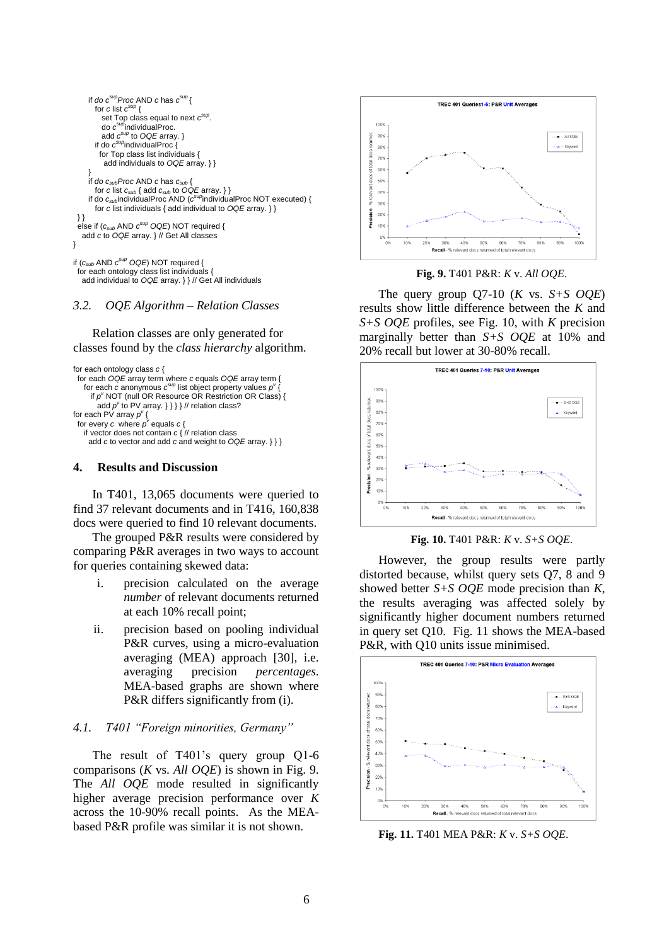

#### *3.2. OQE Algorithm – Relation Classes*

Relation classes are only generated for classes found by the *class hierarchy* algorithm.

```
for each ontology class c {
  for each OQE array term where c equals OQE array term { 
for each c anonymous c^{sup} list object property values p^V {
 if p
v NOT (null OR Resource OR Restriction OR Class) {
add p^v to PV array. \} } \} // relation class?
for each PV array p^{\nu} {
for every c where p^v equals c \left\{ if vector does not contain c { // relation class
     add c to vector and add c and weight to OQE array. } } }
```
#### **4. Results and Discussion**

In T401, 13,065 documents were queried to find 37 relevant documents and in T416, 160,838 docs were queried to find 10 relevant documents.

The grouped P&R results were considered by comparing P&R averages in two ways to account for queries containing skewed data:

- i. precision calculated on the average *number* of relevant documents returned at each 10% recall point;
- ii. precision based on pooling individual P&R curves, using a micro-evaluation averaging (MEA) approach [30], i.e. averaging precision *percentages*. MEA-based graphs are shown where P&R differs significantly from (i).

#### *4.1. T401 "Foreign minorities, Germany"*

The result of T401's query group Q1-6 comparisons (*K* vs. *All OQE*) is shown in Fig. 9. The *All OQE* mode resulted in significantly higher average precision performance over *K* across the 10-90% recall points. As the MEAbased P&R profile was similar it is not shown.



**Fig. 9.** T401 P&R: *K* v. *All OQE*.

The query group Q7-10 (*K* vs. *S+S OQE*) results show little difference between the *K* and *S+S OQE* profiles, see Fig. 10, with *K* precision marginally better than *S+S OQE* at 10% and 20% recall but lower at 30-80% recall.



**Fig. 10.** T401 P&R: *K* v. *S+S OQE*.

However, the group results were partly distorted because, whilst query sets Q7, 8 and 9 showed better *S+S OQE* mode precision than *K*, the results averaging was affected solely by significantly higher document numbers returned in query set Q10. Fig. 11 shows the MEA-based P&R, with Q10 units issue minimised.



**Fig. 11.** T401 MEA P&R: *K* v. *S+S OQE*.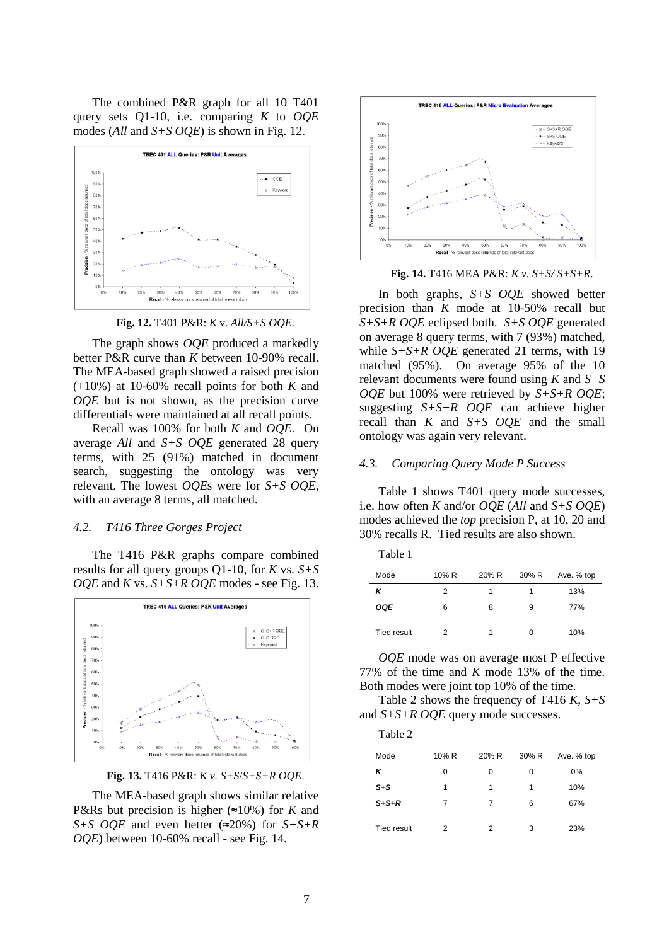The combined P&R graph for all 10 T401 query sets Q1-10, i.e. comparing *K* to *OQE* modes (*All* and *S+S OQE*) is shown in Fig. 12.



**Fig. 12.** T401 P&R: *K* v. *All/S+S OQE*.

The graph shows *OQE* produced a markedly better P&R curve than *K* between 10-90% recall. The MEA-based graph showed a raised precision (+10%) at 10-60% recall points for both *K* and *OQE* but is not shown, as the precision curve differentials were maintained at all recall points.

Recall was 100% for both *K* and *OQE*. On average *All* and *S+S OQE* generated 28 query terms, with 25 (91%) matched in document search, suggesting the ontology was very relevant. The lowest *OQE*s were for *S+S OQE*, with an average 8 terms, all matched.

#### *4.2. T416 Three Gorges Project*

The T416 P&R graphs compare combined results for all query groups Q1-10, for *K* vs. *S+S OQE* and *K* vs. *S+S+R OQE* modes - see Fig. 13.



**Fig. 13.** T416 P&R: *K v. S+S*/*S+S+R OQE*.

The MEA-based graph shows similar relative P&Rs but precision is higher (≈10%) for *K* and *S+S OQE* and even better (≈20%) for *S+S+R OQE*) between 10-60% recall - see Fig. 14.



**Fig. 14.** T416 MEA P&R: *K v. S+S/ S+S+R*.

In both graphs, *S+S OQE* showed better precision than *K* mode at 10-50% recall but *S+S+R OQE* eclipsed both. *S+S OQE* generated on average 8 query terms, with 7 (93%) matched, while *S+S+R OQE* generated 21 terms, with 19 matched (95%). On average 95% of the 10 relevant documents were found using *K* and *S+S OQE* but 100% were retrieved by *S+S+R OQE*; suggesting *S+S+R OQE* can achieve higher recall than *K* and *S+S OQE* and the small ontology was again very relevant.

#### *4.3. Comparing Query Mode P Success*

Table 1 shows T401 query mode successes, i.e. how often *K* and/or *OQE* (*All* and *S+S OQE*) modes achieved the *top* precision P, at 10, 20 and 30% recalls R. Tied results are also shown.

| `able |  |
|-------|--|
|-------|--|

| Mode               | 10% R | 20% R | 30% R | Ave. % top |
|--------------------|-------|-------|-------|------------|
| κ                  | 2     |       | 1     | 13%        |
| OQE                | 6     | 8     | 9     | 77%        |
| <b>Tied result</b> | 2     | 1     | 0     | 10%        |

*OQE* mode was on average most P effective 77% of the time and *K* mode 13% of the time. Both modes were joint top 10% of the time.

Table 2 shows the frequency of T416 *K*, *S+S* and *S+S+R OQE* query mode successes.

| r<br>т. |  |
|---------|--|
|         |  |

| Mode        | 10% R | 20% R | 30% R | Ave. % top |
|-------------|-------|-------|-------|------------|
| κ           | 0     | 0     | 0     | 0%         |
| $S + S$     | 1     | 1     | 1     | 10%        |
| $S+S+R$     | 7     | 7     | 6     | 67%        |
| Tied result | 2     | 2     | 3     | 23%        |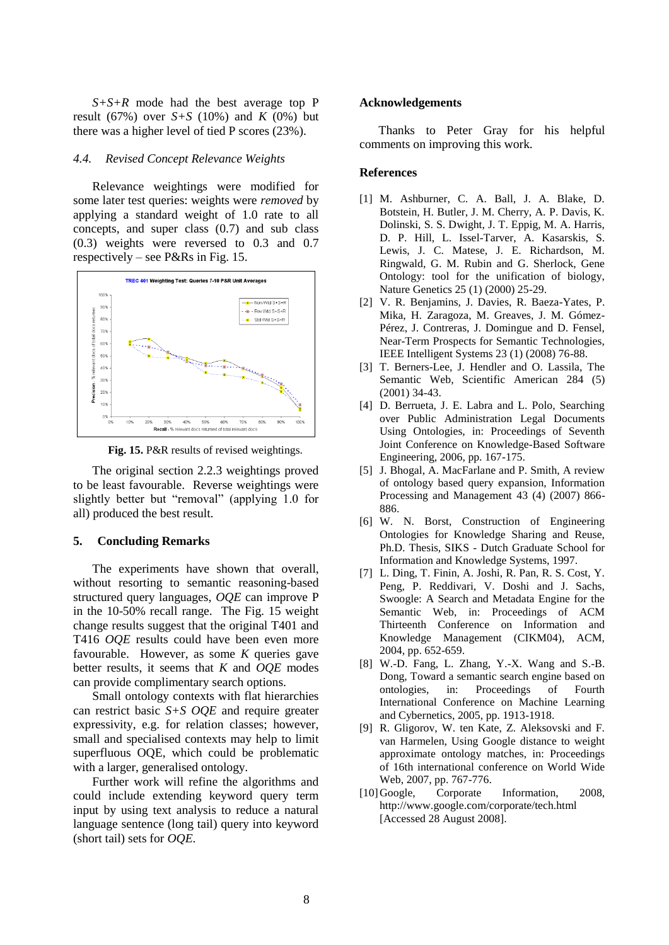*S+S+R* mode had the best average top P result (67%) over  $S+S$  (10%) and *K* (0%) but there was a higher level of tied P scores (23%).

#### *4.4. Revised Concept Relevance Weights*

Relevance weightings were modified for some later test queries: weights were *removed* by applying a standard weight of 1.0 rate to all concepts, and super class (0.7) and sub class (0.3) weights were reversed to 0.3 and 0.7 respectively – see P&Rs in Fig. 15.



**Fig. 15.** P&R results of revised weightings.

The original section 2.2.3 weightings proved to be least favourable. Reverse weightings were slightly better but "removal" (applying 1.0 for all) produced the best result.

#### **5. Concluding Remarks**

The experiments have shown that overall, without resorting to semantic reasoning-based structured query languages, *OQE* can improve P in the 10-50% recall range. The Fig. 15 weight change results suggest that the original T401 and T416 *OQE* results could have been even more favourable. However, as some *K* queries gave better results, it seems that *K* and *OQE* modes can provide complimentary search options.

Small ontology contexts with flat hierarchies can restrict basic *S+S OQE* and require greater expressivity, e.g. for relation classes; however, small and specialised contexts may help to limit superfluous OQE, which could be problematic with a larger, generalised ontology.

Further work will refine the algorithms and could include extending keyword query term input by using text analysis to reduce a natural language sentence (long tail) query into keyword (short tail) sets for *OQE*.

### **Acknowledgements**

Thanks to Peter Gray for his helpful comments on improving this work.

#### **References**

- [1] M. Ashburner, C. A. Ball, J. A. Blake, D. Botstein, H. Butler, J. M. Cherry, A. P. Davis, K. Dolinski, S. S. Dwight, J. T. Eppig, M. A. Harris, D. P. Hill, L. Issel-Tarver, A. Kasarskis, S. Lewis, J. C. Matese, J. E. Richardson, M. Ringwald, G. M. Rubin and G. Sherlock, Gene Ontology: tool for the unification of biology, Nature Genetics 25 (1) (2000) 25-29.
- [2] V. R. Benjamins, J. Davies, R. Baeza-Yates, P. Mika, H. Zaragoza, M. Greaves, J. M. Gómez-Pérez, J. Contreras, J. Domingue and D. Fensel, Near-Term Prospects for Semantic Technologies, IEEE Intelligent Systems 23 (1) (2008) 76-88.
- [3] T. Berners-Lee, J. Hendler and O. Lassila, The Semantic Web, Scientific American 284 (5) (2001) 34-43.
- [4] D. Berrueta, J. E. Labra and L. Polo, Searching over Public Administration Legal Documents Using Ontologies, in: Proceedings of Seventh Joint Conference on Knowledge-Based Software Engineering, 2006, pp. 167-175.
- [5] J. Bhogal, A. MacFarlane and P. Smith, A review of ontology based query expansion, Information Processing and Management 43 (4) (2007) 866- 886.
- [6] W. N. Borst, Construction of Engineering Ontologies for Knowledge Sharing and Reuse, Ph.D. Thesis, SIKS - Dutch Graduate School for Information and Knowledge Systems, 1997.
- [7] L. Ding, T. Finin, A. Joshi, R. Pan, R. S. Cost, Y. Peng, P. Reddivari, V. Doshi and J. Sachs, Swoogle: A Search and Metadata Engine for the Semantic Web, in: Proceedings of ACM Thirteenth Conference on Information and Knowledge Management (CIKM04), ACM, 2004, pp. 652-659.
- [8] W.-D. Fang, L. Zhang, Y.-X. Wang and S.-B. Dong, Toward a semantic search engine based on ontologies, in: Proceedings of Fourth International Conference on Machine Learning and Cybernetics, 2005, pp. 1913-1918.
- [9] R. Gligorov, W. ten Kate, Z. Aleksovski and F. van Harmelen, Using Google distance to weight approximate ontology matches, in: Proceedings of 16th international conference on World Wide Web, 2007, pp. 767-776.
- [10]Google, Corporate Information, 2008, <http://www.google.com/corporate/tech.html> [Accessed 28 August 2008].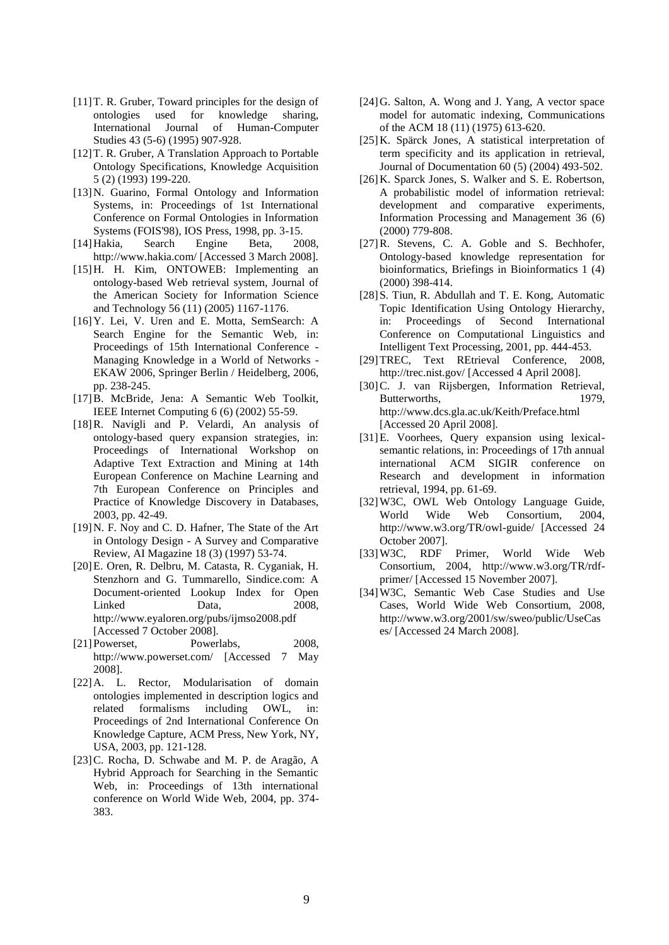- [11]T. R. Gruber, Toward principles for the design of ontologies used for knowledge sharing, International Journal of Human-Computer Studies 43 (5-6) (1995) 907-928.
- [12]T. R. Gruber, A Translation Approach to Portable Ontology Specifications, Knowledge Acquisition 5 (2) (1993) 199-220.
- [13]N. Guarino, Formal Ontology and Information Systems, in: Proceedings of 1st International Conference on Formal Ontologies in Information Systems (FOIS'98), IOS Press, 1998, pp. 3-15.
- [14]Hakia, Search Engine Beta, 2008, <http://www.hakia.com/> [Accessed 3 March 2008].
- [15]H. H. Kim, ONTOWEB: Implementing an ontology-based Web retrieval system, Journal of the American Society for Information Science and Technology 56 (11) (2005) 1167-1176.
- [16]Y. Lei, V. Uren and E. Motta, SemSearch: A Search Engine for the Semantic Web, in: Proceedings of 15th International Conference - Managing Knowledge in a World of Networks - EKAW 2006, Springer Berlin / Heidelberg, 2006, pp. 238-245.
- [17]B. McBride, Jena: A Semantic Web Toolkit, IEEE Internet Computing 6 (6) (2002) 55-59.
- [18]R. Navigli and P. Velardi, An analysis of ontology-based query expansion strategies, in: Proceedings of International Workshop on Adaptive Text Extraction and Mining at 14th European Conference on Machine Learning and 7th European Conference on Principles and Practice of Knowledge Discovery in Databases, 2003, pp. 42-49.
- [19]N. F. Noy and C. D. Hafner, The State of the Art in Ontology Design - A Survey and Comparative Review, AI Magazine 18 (3) (1997) 53-74.
- [20]E. Oren, R. Delbru, M. Catasta, R. Cyganiak, H. Stenzhorn and G. Tummarello, Sindice.com: A Document-oriented Lookup Index for Open Linked Data, 2008, <http://www.eyaloren.org/pubs/ijmso2008.pdf> [Accessed 7 October 2008].
- [21]Powerset, Powerlabs, 2008, <http://www.powerset.com/> [Accessed 7 May 2008].
- [22]A. L. Rector, Modularisation of domain ontologies implemented in description logics and related formalisms including OWL, in: Proceedings of 2nd International Conference On Knowledge Capture, ACM Press, New York, NY, USA, 2003, pp. 121-128.
- [23]C. Rocha, D. Schwabe and M. P. de Aragão, A Hybrid Approach for Searching in the Semantic Web, in: Proceedings of 13th international conference on World Wide Web, 2004, pp. 374- 383.
- [24]G. Salton, A. Wong and J. Yang, A vector space model for automatic indexing, Communications of the ACM 18 (11) (1975) 613-620.
- [25]K. Spärck Jones, A statistical interpretation of term specificity and its application in retrieval, Journal of Documentation 60 (5) (2004) 493-502.
- [26]K. Sparck Jones, S. Walker and S. E. Robertson, A probabilistic model of information retrieval: development and comparative experiments, Information Processing and Management 36 (6) (2000) 779-808.
- [27]R. Stevens, C. A. Goble and S. Bechhofer, Ontology-based knowledge representation for bioinformatics, Briefings in Bioinformatics 1 (4) (2000) 398-414.
- [28]S. Tiun, R. Abdullah and T. E. Kong, Automatic Topic Identification Using Ontology Hierarchy, in: Proceedings of Second International Conference on Computational Linguistics and Intelligent Text Processing, 2001, pp. 444-453.
- [29]TREC, Text REtrieval Conference, 2008, <http://trec.nist.gov/> [Accessed 4 April 2008].
- [30]C. J. van Rijsbergen, Information Retrieval, Butterworths, 1979, <http://www.dcs.gla.ac.uk/Keith/Preface.html> [Accessed 20 April 2008].
- [31]E. Voorhees, Query expansion using lexicalsemantic relations, in: Proceedings of 17th annual international ACM SIGIR conference on Research and development in information retrieval, 1994, pp. 61-69.
- [32]W3C, OWL Web Ontology Language Guide, World Wide Web Consortium, 2004, <http://www.w3.org/TR/owl-guide/> [Accessed 24 October 2007].
- [33]W3C, RDF Primer, World Wide Web Consortium, 2004, [http://www.w3.org/TR/rdf](http://www.w3.org/TR/rdf-primer/)[primer/](http://www.w3.org/TR/rdf-primer/) [Accessed 15 November 2007].
- [34]W3C, Semantic Web Case Studies and Use Cases, World Wide Web Consortium, 2008, [http://www.w3.org/2001/sw/sweo/public/UseCas](http://www.w3.org/2001/sw/sweo/public/UseCases/) [es/](http://www.w3.org/2001/sw/sweo/public/UseCases/) [Accessed 24 March 2008].